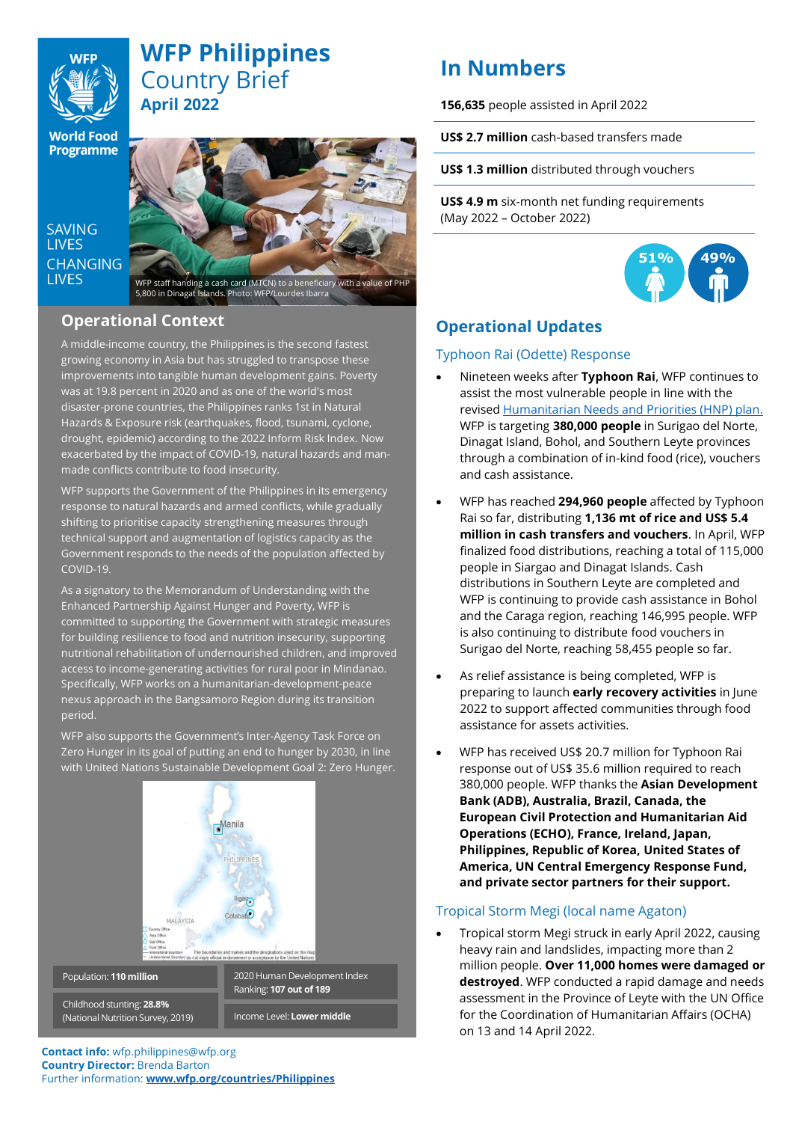

# **WFP Philippines** Country Brief **April 2022**

**World Food Programme** 

SAVING **LIVES CHANGING I IVES** 



# **Operational Context** 5,800 in Dinagat Islands. Photo: WFP/Lourdes Ibarra

### A middle-income country, the Philippines is the second fastest growing economy in Asia but has struggled to transpose these improvements into tangible human development gains. Poverty was at 19.8 [percent](https://www.pna.gov.ph/articles/1083509#:~:text=In%20its%20latest%20report%2C%20the,and%2018.7%20percent%20in%202021.) in 2020 and as one of the world's most disaster-prone countries, the Philippines ranks 1st in Natural Hazards & Exposure risk (earthquakes, flood, tsunami, cyclone, drought, epidemic) according to the 2022 Inform Risk Index. Now exacerbated by the impact of COVID-19, natural hazards and manmade conflicts contribute to food insecurity.

WFP supports the Government of the Philippines in its emergency response to natural hazards and armed conflicts, while gradually shifting to prioritise capacity strengthening measures through technical support and augmentation of logistics capacity as the Government responds to the needs of the population affected by COVID-19.

As a signatory to the Memorandum of Understanding with the Enhanced Partnership Against Hunger and Poverty, WFP is committed to supporting the Government with strategic measures for building resilience to food and nutrition insecurity, supporting nutritional rehabilitation of undernourished children, and improved access to income-generating activities for rural poor in Mindanao. Specifically, WFP works on a humanitarian-development-peace nexus approach in the Bangsamoro Region during its transition period.

WFP also supports the Government's Inter-Agency Task Force on Zero Hunger in its goal of putting an end to hunger by 2030, in line with United Nations Sustainable Development Goal 2: Zero Hunger.



#### **Contact info:** wfp.philippines@wfp.org **Country Director:** Brenda Barton Further information: **[www.wfp.org/countries/Philippines](http://www.wfp.org/countries/Philippines)**

# **In Numbers**

**156,635** people assisted in April 2022

**US\$ 2.7 million** cash-based transfers made

**US\$ 1.3 million** distributed through vouchers

**US\$ 4.9 m** six-month net funding requirements (May 2022 – October 2022)



# **Operational Updates**

## Typhoon Rai (Odette) Response

- Nineteen weeks after **Typhoon Rai**, WFP continues to assist the most vulnerable people in line with the revised [Humanitarian Needs and Priorities \(HNP\) plan.](https://reliefweb.int/report/philippines/philippines-super-typhoon-rai-odette-humanitarian-needs-and-priorities-revision) WFP is targeting **380,000 people** in Surigao del Norte, Dinagat Island, Bohol, and Southern Leyte provinces through a combination of in-kind food (rice), vouchers and cash assistance.
- WFP has reached **294,960 people** affected by Typhoon Rai so far, distributing **1,136 mt of rice and US\$ 5.4 million in cash transfers and vouchers**. In April, WFP finalized food distributions, reaching a total of 115,000 people in Siargao and Dinagat Islands. Cash distributions in Southern Leyte are completed and WFP is continuing to provide cash assistance in Bohol and the Caraga region, reaching 146,995 people. WFP is also continuing to distribute food vouchers in Surigao del Norte, reaching 58,455 people so far.
- As relief assistance is being completed, WFP is preparing to launch **early recovery activities** in June 2022 to support affected communities through food assistance for assets activities.
- WFP has received US\$ 20.7 million for Typhoon Rai response out of US\$ 35.6 million required to reach 380,000 people. WFP thanks the **Asian Development Bank (ADB), Australia, Brazil, Canada, the European Civil Protection and Humanitarian Aid Operations (ECHO), France, Ireland, Japan, Philippines, Republic of Korea, United States of America, UN Central Emergency Response Fund, and private sector partners for their support.**

## Tropical Storm Megi (local name Agaton)

• Tropical storm Megi struck in early April 2022, causing heavy rain and landslides, impacting more than 2 million people. **Over 11,000 homes were damaged or destroyed**. WFP conducted a rapid damage and needs assessment in the Province of Leyte with the UN Office for the Coordination of Humanitarian Affairs (OCHA) on 13 and 14 April 2022.